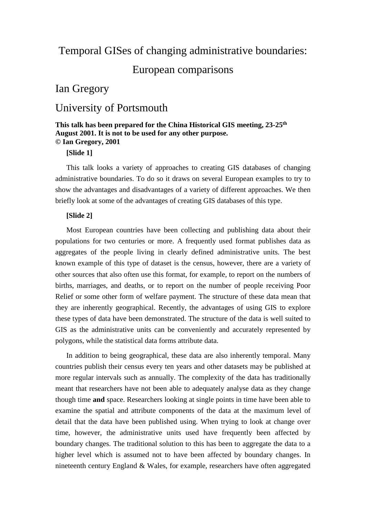# Temporal GISes of changing administrative boundaries:

# European comparisons

# Ian Gregory

# University of Portsmouth

# **This talk has been prepared for the China Historical GIS meeting, 23-25th August 2001. It is not to be used for any other purpose. © Ian Gregory, 2001**

# **[Slide 1]**

This talk looks a variety of approaches to creating GIS databases of changing administrative boundaries. To do so it draws on several European examples to try to show the advantages and disadvantages of a variety of different approaches. We then briefly look at some of the advantages of creating GIS databases of this type.

## **[Slide 2]**

Most European countries have been collecting and publishing data about their populations for two centuries or more. A frequently used format publishes data as aggregates of the people living in clearly defined administrative units. The best known example of this type of dataset is the census, however, there are a variety of other sources that also often use this format, for example, to report on the numbers of births, marriages, and deaths, or to report on the number of people receiving Poor Relief or some other form of welfare payment. The structure of these data mean that they are inherently geographical. Recently, the advantages of using GIS to explore these types of data have been demonstrated. The structure of the data is well suited to GIS as the administrative units can be conveniently and accurately represented by polygons, while the statistical data forms attribute data.

In addition to being geographical, these data are also inherently temporal. Many countries publish their census every ten years and other datasets may be published at more regular intervals such as annually. The complexity of the data has traditionally meant that researchers have not been able to adequately analyse data as they change though time **and** space. Researchers looking at single points in time have been able to examine the spatial and attribute components of the data at the maximum level of detail that the data have been published using. When trying to look at change over time, however, the administrative units used have frequently been affected by boundary changes. The traditional solution to this has been to aggregate the data to a higher level which is assumed not to have been affected by boundary changes. In nineteenth century England & Wales, for example, researchers have often aggregated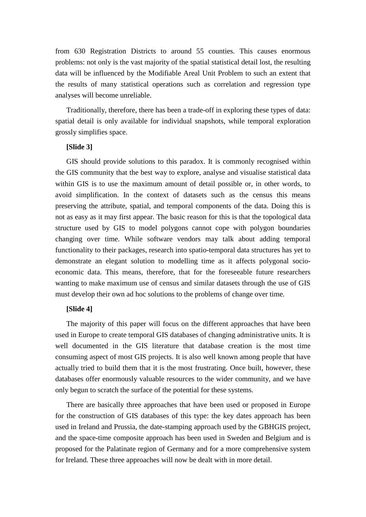from 630 Registration Districts to around 55 counties. This causes enormous problems: not only is the vast majority of the spatial statistical detail lost, the resulting data will be influenced by the Modifiable Areal Unit Problem to such an extent that the results of many statistical operations such as correlation and regression type analyses will become unreliable.

Traditionally, therefore, there has been a trade-off in exploring these types of data: spatial detail is only available for individual snapshots, while temporal exploration grossly simplifies space.

### **[Slide 3]**

GIS should provide solutions to this paradox. It is commonly recognised within the GIS community that the best way to explore, analyse and visualise statistical data within GIS is to use the maximum amount of detail possible or, in other words, to avoid simplification. In the context of datasets such as the census this means preserving the attribute, spatial, and temporal components of the data. Doing this is not as easy as it may first appear. The basic reason for this is that the topological data structure used by GIS to model polygons cannot cope with polygon boundaries changing over time. While software vendors may talk about adding temporal functionality to their packages, research into spatio-temporal data structures has yet to demonstrate an elegant solution to modelling time as it affects polygonal socioeconomic data. This means, therefore, that for the foreseeable future researchers wanting to make maximum use of census and similar datasets through the use of GIS must develop their own ad hoc solutions to the problems of change over time.

## **[Slide 4]**

The majority of this paper will focus on the different approaches that have been used in Europe to create temporal GIS databases of changing administrative units. It is well documented in the GIS literature that database creation is the most time consuming aspect of most GIS projects. It is also well known among people that have actually tried to build them that it is the most frustrating. Once built, however, these databases offer enormously valuable resources to the wider community, and we have only begun to scratch the surface of the potential for these systems.

There are basically three approaches that have been used or proposed in Europe for the construction of GIS databases of this type: the key dates approach has been used in Ireland and Prussia, the date-stamping approach used by the GBHGIS project, and the space-time composite approach has been used in Sweden and Belgium and is proposed for the Palatinate region of Germany and for a more comprehensive system for Ireland. These three approaches will now be dealt with in more detail.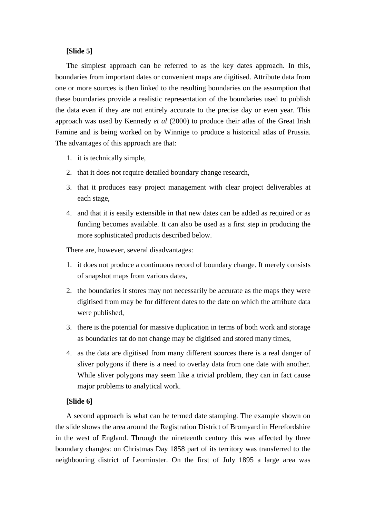# **[Slide 5]**

The simplest approach can be referred to as the key dates approach. In this, boundaries from important dates or convenient maps are digitised. Attribute data from one or more sources is then linked to the resulting boundaries on the assumption that these boundaries provide a realistic representation of the boundaries used to publish the data even if they are not entirely accurate to the precise day or even year. This approach was used by Kennedy *et al* (2000) to produce their atlas of the Great Irish Famine and is being worked on by Winnige to produce a historical atlas of Prussia. The advantages of this approach are that:

- 1. it is technically simple,
- 2. that it does not require detailed boundary change research,
- 3. that it produces easy project management with clear project deliverables at each stage,
- 4. and that it is easily extensible in that new dates can be added as required or as funding becomes available. It can also be used as a first step in producing the more sophisticated products described below.

There are, however, several disadvantages:

- 1. it does not produce a continuous record of boundary change. It merely consists of snapshot maps from various dates,
- 2. the boundaries it stores may not necessarily be accurate as the maps they were digitised from may be for different dates to the date on which the attribute data were published,
- 3. there is the potential for massive duplication in terms of both work and storage as boundaries tat do not change may be digitised and stored many times,
- 4. as the data are digitised from many different sources there is a real danger of sliver polygons if there is a need to overlay data from one date with another. While sliver polygons may seem like a trivial problem, they can in fact cause major problems to analytical work.

## **[Slide 6]**

A second approach is what can be termed date stamping. The example shown on the slide shows the area around the Registration District of Bromyard in Herefordshire in the west of England. Through the nineteenth century this was affected by three boundary changes: on Christmas Day 1858 part of its territory was transferred to the neighbouring district of Leominster. On the first of July 1895 a large area was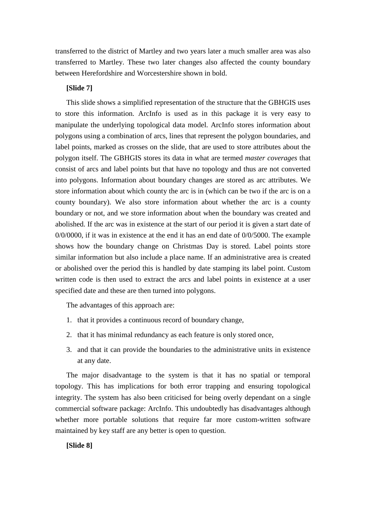transferred to the district of Martley and two years later a much smaller area was also transferred to Martley. These two later changes also affected the county boundary between Herefordshire and Worcestershire shown in bold.

# **[Slide 7]**

This slide shows a simplified representation of the structure that the GBHGIS uses to store this information. ArcInfo is used as in this package it is very easy to manipulate the underlying topological data model. ArcInfo stores information about polygons using a combination of arcs, lines that represent the polygon boundaries, and label points, marked as crosses on the slide, that are used to store attributes about the polygon itself. The GBHGIS stores its data in what are termed *master coverages* that consist of arcs and label points but that have no topology and thus are not converted into polygons. Information about boundary changes are stored as arc attributes. We store information about which county the arc is in (which can be two if the arc is on a county boundary). We also store information about whether the arc is a county boundary or not, and we store information about when the boundary was created and abolished. If the arc was in existence at the start of our period it is given a start date of 0/0/0000, if it was in existence at the end it has an end date of 0/0/5000. The example shows how the boundary change on Christmas Day is stored. Label points store similar information but also include a place name. If an administrative area is created or abolished over the period this is handled by date stamping its label point. Custom written code is then used to extract the arcs and label points in existence at a user specified date and these are then turned into polygons.

The advantages of this approach are:

- 1. that it provides a continuous record of boundary change,
- 2. that it has minimal redundancy as each feature is only stored once,
- 3. and that it can provide the boundaries to the administrative units in existence at any date.

The major disadvantage to the system is that it has no spatial or temporal topology. This has implications for both error trapping and ensuring topological integrity. The system has also been criticised for being overly dependant on a single commercial software package: ArcInfo. This undoubtedly has disadvantages although whether more portable solutions that require far more custom-written software maintained by key staff are any better is open to question.

#### **[Slide 8]**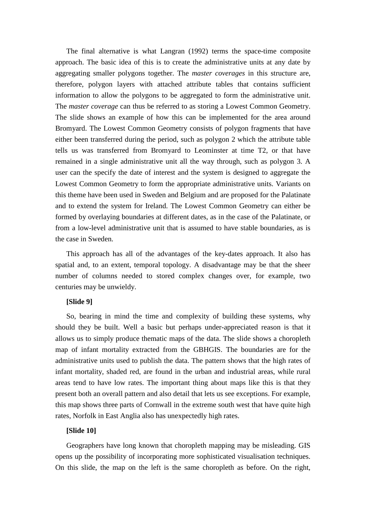The final alternative is what Langran (1992) terms the space-time composite approach. The basic idea of this is to create the administrative units at any date by aggregating smaller polygons together. The *master coverages* in this structure are, therefore, polygon layers with attached attribute tables that contains sufficient information to allow the polygons to be aggregated to form the administrative unit. The *master coverage* can thus be referred to as storing a Lowest Common Geometry. The slide shows an example of how this can be implemented for the area around Bromyard. The Lowest Common Geometry consists of polygon fragments that have either been transferred during the period, such as polygon 2 which the attribute table tells us was transferred from Bromyard to Leominster at time T2, or that have remained in a single administrative unit all the way through, such as polygon 3. A user can the specify the date of interest and the system is designed to aggregate the Lowest Common Geometry to form the appropriate administrative units. Variants on this theme have been used in Sweden and Belgium and are proposed for the Palatinate and to extend the system for Ireland. The Lowest Common Geometry can either be formed by overlaying boundaries at different dates, as in the case of the Palatinate, or from a low-level administrative unit that is assumed to have stable boundaries, as is the case in Sweden.

This approach has all of the advantages of the key-dates approach. It also has spatial and, to an extent, temporal topology. A disadvantage may be that the sheer number of columns needed to stored complex changes over, for example, two centuries may be unwieldy.

#### **[Slide 9]**

So, bearing in mind the time and complexity of building these systems, why should they be built. Well a basic but perhaps under-appreciated reason is that it allows us to simply produce thematic maps of the data. The slide shows a choropleth map of infant mortality extracted from the GBHGIS. The boundaries are for the administrative units used to publish the data. The pattern shows that the high rates of infant mortality, shaded red, are found in the urban and industrial areas, while rural areas tend to have low rates. The important thing about maps like this is that they present both an overall pattern and also detail that lets us see exceptions. For example, this map shows three parts of Cornwall in the extreme south west that have quite high rates, Norfolk in East Anglia also has unexpectedly high rates.

#### **[Slide 10]**

Geographers have long known that choropleth mapping may be misleading. GIS opens up the possibility of incorporating more sophisticated visualisation techniques. On this slide, the map on the left is the same choropleth as before. On the right,